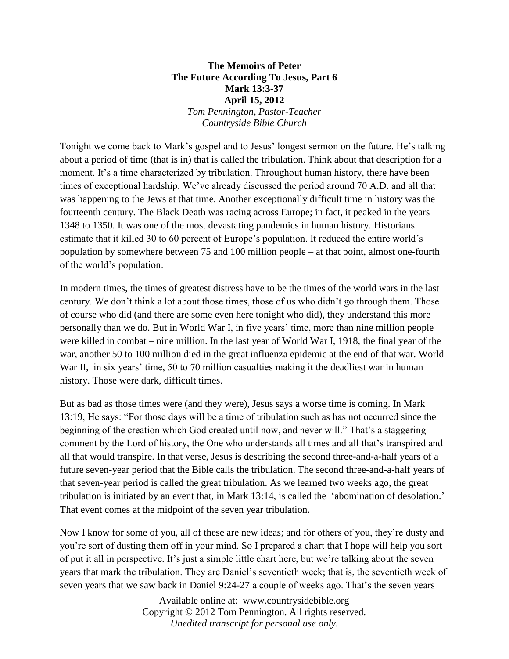## **The Memoirs of Peter The Future According To Jesus, Part 6 Mark 13:3-37 April 15, 2012** *Tom Pennington, Pastor-Teacher Countryside Bible Church*

Tonight we come back to Mark's gospel and to Jesus' longest sermon on the future. He's talking about a period of time (that is in) that is called the tribulation. Think about that description for a moment. It's a time characterized by tribulation. Throughout human history, there have been times of exceptional hardship. We've already discussed the period around 70 A.D. and all that was happening to the Jews at that time. Another exceptionally difficult time in history was the fourteenth century. The Black Death was racing across Europe; in fact, it peaked in the years 1348 to 1350. It was one of the most devastating pandemics in human history. Historians estimate that it killed 30 to 60 percent of Europe's population. It reduced the entire world's population by somewhere between 75 and 100 million people – at that point, almost one-fourth of the world's population.

In modern times, the times of greatest distress have to be the times of the world wars in the last century. We don't think a lot about those times, those of us who didn't go through them. Those of course who did (and there are some even here tonight who did), they understand this more personally than we do. But in World War I, in five years' time, more than nine million people were killed in combat – nine million. In the last year of World War I, 1918, the final year of the war, another 50 to 100 million died in the great influenza epidemic at the end of that war. World War II, in six years' time, 50 to 70 million casualties making it the deadliest war in human history. Those were dark, difficult times.

But as bad as those times were (and they were), Jesus says a worse time is coming. In Mark 13:19, He says: "For those days will be a time of tribulation such as has not occurred since the beginning of the creation which God created until now, and never will." That's a staggering comment by the Lord of history, the One who understands all times and all that's transpired and all that would transpire. In that verse, Jesus is describing the second three-and-a-half years of a future seven-year period that the Bible calls the tribulation. The second three-and-a-half years of that seven-year period is called the great tribulation. As we learned two weeks ago, the great tribulation is initiated by an event that, in Mark 13:14, is called the 'abomination of desolation.' That event comes at the midpoint of the seven year tribulation.

Now I know for some of you, all of these are new ideas; and for others of you, they're dusty and you're sort of dusting them off in your mind. So I prepared a chart that I hope will help you sort of put it all in perspective. It's just a simple little chart here, but we're talking about the seven years that mark the tribulation. They are Daniel's seventieth week; that is, the seventieth week of seven years that we saw back in Daniel 9:24-27 a couple of weeks ago. That's the seven years

> Available online at: www.countrysidebible.org Copyright © 2012 Tom Pennington. All rights reserved. *Unedited transcript for personal use only.*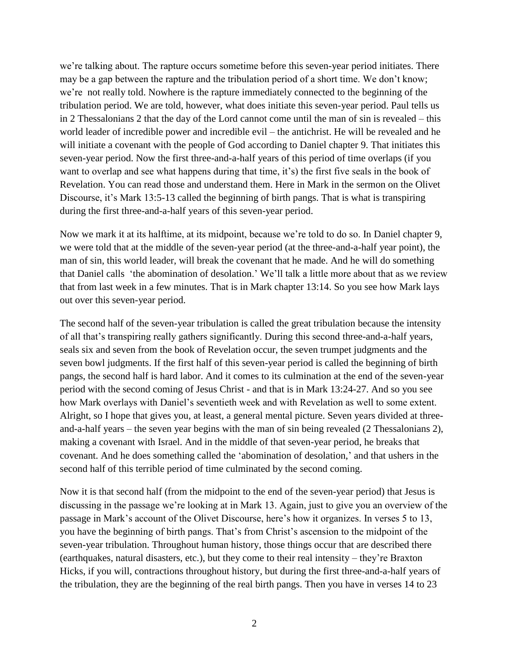we're talking about. The rapture occurs sometime before this seven-year period initiates. There may be a gap between the rapture and the tribulation period of a short time. We don't know; we're not really told. Nowhere is the rapture immediately connected to the beginning of the tribulation period. We are told, however, what does initiate this seven-year period. Paul tells us in 2 Thessalonians 2 that the day of the Lord cannot come until the man of sin is revealed – this world leader of incredible power and incredible evil – the antichrist. He will be revealed and he will initiate a covenant with the people of God according to Daniel chapter 9. That initiates this seven-year period. Now the first three-and-a-half years of this period of time overlaps (if you want to overlap and see what happens during that time, it's) the first five seals in the book of Revelation. You can read those and understand them. Here in Mark in the sermon on the Olivet Discourse, it's Mark 13:5-13 called the beginning of birth pangs. That is what is transpiring during the first three-and-a-half years of this seven-year period.

Now we mark it at its halftime, at its midpoint, because we're told to do so. In Daniel chapter 9, we were told that at the middle of the seven-year period (at the three-and-a-half year point), the man of sin, this world leader, will break the covenant that he made. And he will do something that Daniel calls 'the abomination of desolation.' We'll talk a little more about that as we review that from last week in a few minutes. That is in Mark chapter 13:14. So you see how Mark lays out over this seven-year period.

The second half of the seven-year tribulation is called the great tribulation because the intensity of all that's transpiring really gathers significantly. During this second three-and-a-half years, seals six and seven from the book of Revelation occur, the seven trumpet judgments and the seven bowl judgments. If the first half of this seven-year period is called the beginning of birth pangs, the second half is hard labor. And it comes to its culmination at the end of the seven-year period with the second coming of Jesus Christ - and that is in Mark 13:24-27. And so you see how Mark overlays with Daniel's seventieth week and with Revelation as well to some extent. Alright, so I hope that gives you, at least, a general mental picture. Seven years divided at threeand-a-half years – the seven year begins with the man of sin being revealed (2 Thessalonians 2), making a covenant with Israel. And in the middle of that seven-year period, he breaks that covenant. And he does something called the 'abomination of desolation,' and that ushers in the second half of this terrible period of time culminated by the second coming.

Now it is that second half (from the midpoint to the end of the seven-year period) that Jesus is discussing in the passage we're looking at in Mark 13. Again, just to give you an overview of the passage in Mark's account of the Olivet Discourse, here's how it organizes. In verses 5 to 13, you have the beginning of birth pangs. That's from Christ's ascension to the midpoint of the seven-year tribulation. Throughout human history, those things occur that are described there (earthquakes, natural disasters, etc.), but they come to their real intensity – they're Braxton Hicks, if you will, contractions throughout history, but during the first three-and-a-half years of the tribulation, they are the beginning of the real birth pangs. Then you have in verses 14 to 23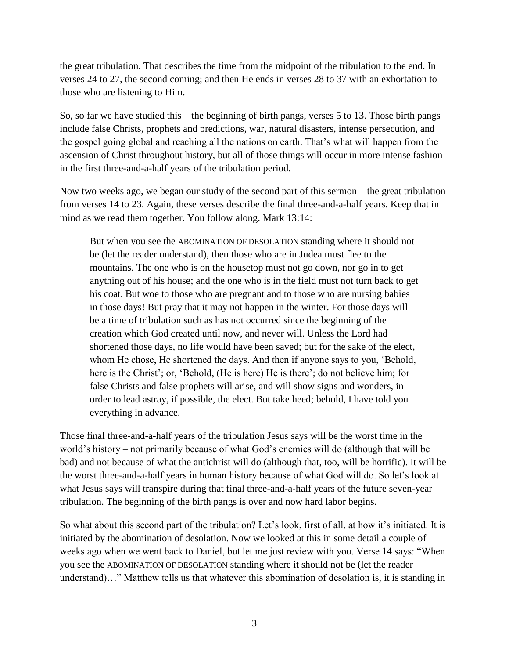the great tribulation. That describes the time from the midpoint of the tribulation to the end. In verses 24 to 27, the second coming; and then He ends in verses 28 to 37 with an exhortation to those who are listening to Him.

So, so far we have studied this – the beginning of birth pangs, verses 5 to 13. Those birth pangs include false Christs, prophets and predictions, war, natural disasters, intense persecution, and the gospel going global and reaching all the nations on earth. That's what will happen from the ascension of Christ throughout history, but all of those things will occur in more intense fashion in the first three-and-a-half years of the tribulation period.

Now two weeks ago, we began our study of the second part of this sermon – the great tribulation from verses 14 to 23. Again, these verses describe the final three-and-a-half years. Keep that in mind as we read them together. You follow along. Mark 13:14:

But when you see the ABOMINATION OF DESOLATION standing where it should not be (let the reader understand), then those who are in Judea must flee to the mountains. The one who is on the housetop must not go down, nor go in to get anything out of his house; and the one who is in the field must not turn back to get his coat. But woe to those who are pregnant and to those who are nursing babies in those days! But pray that it may not happen in the winter. For those days will be a time of tribulation such as has not occurred since the beginning of the creation which God created until now, and never will. Unless the Lord had shortened those days, no life would have been saved; but for the sake of the elect, whom He chose, He shortened the days. And then if anyone says to you, 'Behold, here is the Christ'; or, 'Behold, (He is here) He is there'; do not believe him; for false Christs and false prophets will arise, and will show signs and wonders, in order to lead astray, if possible, the elect. But take heed; behold, I have told you everything in advance.

Those final three-and-a-half years of the tribulation Jesus says will be the worst time in the world's history – not primarily because of what God's enemies will do (although that will be bad) and not because of what the antichrist will do (although that, too, will be horrific). It will be the worst three-and-a-half years in human history because of what God will do. So let's look at what Jesus says will transpire during that final three-and-a-half years of the future seven-year tribulation. The beginning of the birth pangs is over and now hard labor begins.

So what about this second part of the tribulation? Let's look, first of all, at how it's initiated. It is initiated by the abomination of desolation. Now we looked at this in some detail a couple of weeks ago when we went back to Daniel, but let me just review with you. Verse 14 says: "When you see the ABOMINATION OF DESOLATION standing where it should not be (let the reader understand)…" Matthew tells us that whatever this abomination of desolation is, it is standing in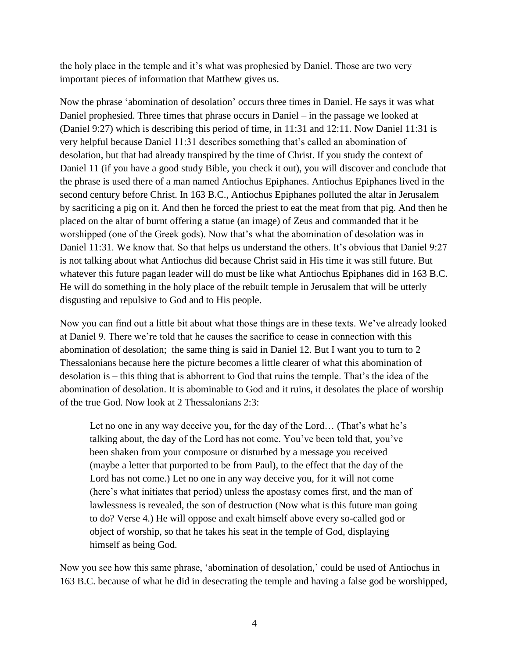the holy place in the temple and it's what was prophesied by Daniel. Those are two very important pieces of information that Matthew gives us.

Now the phrase 'abomination of desolation' occurs three times in Daniel. He says it was what Daniel prophesied. Three times that phrase occurs in Daniel – in the passage we looked at (Daniel 9:27) which is describing this period of time, in 11:31 and 12:11. Now Daniel 11:31 is very helpful because Daniel 11:31 describes something that's called an abomination of desolation, but that had already transpired by the time of Christ. If you study the context of Daniel 11 (if you have a good study Bible, you check it out), you will discover and conclude that the phrase is used there of a man named Antiochus Epiphanes. Antiochus Epiphanes lived in the second century before Christ. In 163 B.C., Antiochus Epiphanes polluted the altar in Jerusalem by sacrificing a pig on it. And then he forced the priest to eat the meat from that pig. And then he placed on the altar of burnt offering a statue (an image) of Zeus and commanded that it be worshipped (one of the Greek gods). Now that's what the abomination of desolation was in Daniel 11:31. We know that. So that helps us understand the others. It's obvious that Daniel 9:27 is not talking about what Antiochus did because Christ said in His time it was still future. But whatever this future pagan leader will do must be like what Antiochus Epiphanes did in 163 B.C. He will do something in the holy place of the rebuilt temple in Jerusalem that will be utterly disgusting and repulsive to God and to His people.

Now you can find out a little bit about what those things are in these texts. We've already looked at Daniel 9. There we're told that he causes the sacrifice to cease in connection with this abomination of desolation; the same thing is said in Daniel 12. But I want you to turn to 2 Thessalonians because here the picture becomes a little clearer of what this abomination of desolation is – this thing that is abhorrent to God that ruins the temple. That's the idea of the abomination of desolation. It is abominable to God and it ruins, it desolates the place of worship of the true God. Now look at 2 Thessalonians 2:3:

Let no one in any way deceive you, for the day of the Lord… (That's what he's talking about, the day of the Lord has not come. You've been told that, you've been shaken from your composure or disturbed by a message you received (maybe a letter that purported to be from Paul), to the effect that the day of the Lord has not come.) Let no one in any way deceive you, for it will not come (here's what initiates that period) unless the apostasy comes first, and the man of lawlessness is revealed, the son of destruction (Now what is this future man going to do? Verse 4.) He will oppose and exalt himself above every so-called god or object of worship, so that he takes his seat in the temple of God, displaying himself as being God.

Now you see how this same phrase, 'abomination of desolation,' could be used of Antiochus in 163 B.C. because of what he did in desecrating the temple and having a false god be worshipped,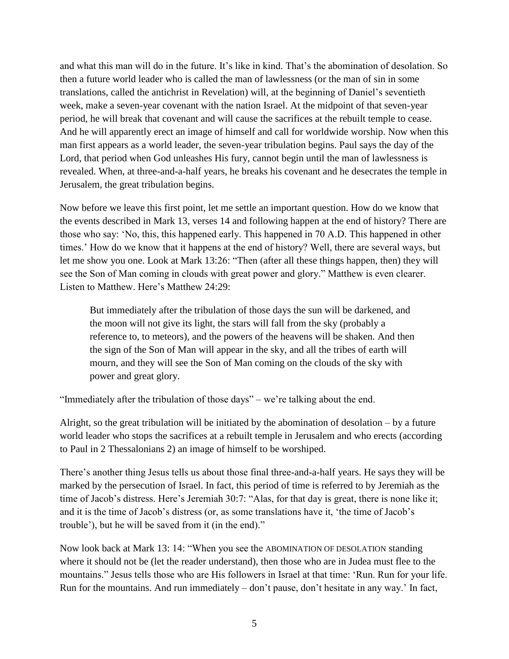and what this man will do in the future. It's like in kind. That's the abomination of desolation. So then a future world leader who is called the man of lawlessness (or the man of sin in some translations, called the antichrist in Revelation) will, at the beginning of Daniel's seventieth week, make a seven-year covenant with the nation Israel. At the midpoint of that seven-year period, he will break that covenant and will cause the sacrifices at the rebuilt temple to cease. And he will apparently erect an image of himself and call for worldwide worship. Now when this man first appears as a world leader, the seven-year tribulation begins. Paul says the day of the Lord, that period when God unleashes His fury, cannot begin until the man of lawlessness is revealed. When, at three-and-a-half years, he breaks his covenant and he desecrates the temple in Jerusalem, the great tribulation begins.

Now before we leave this first point, let me settle an important question. How do we know that the events described in Mark 13, verses 14 and following happen at the end of history? There are those who say: 'No, this, this happened early. This happened in 70 A.D. This happened in other times.' How do we know that it happens at the end of history? Well, there are several ways, but let me show you one. Look at Mark 13:26: "Then (after all these things happen, then) they will see the Son of Man coming in clouds with great power and glory." Matthew is even clearer. Listen to Matthew. Here's Matthew 24:29:

But immediately after the tribulation of those days the sun will be darkened, and the moon will not give its light, the stars will fall from the sky (probably a reference to, to meteors), and the powers of the heavens will be shaken. And then the sign of the Son of Man will appear in the sky, and all the tribes of earth will mourn, and they will see the Son of Man coming on the clouds of the sky with power and great glory.

"Immediately after the tribulation of those days" – we're talking about the end.

Alright, so the great tribulation will be initiated by the abomination of desolation – by a future world leader who stops the sacrifices at a rebuilt temple in Jerusalem and who erects (according to Paul in 2 Thessalonians 2) an image of himself to be worshiped.

There's another thing Jesus tells us about those final three-and-a-half years. He says they will be marked by the persecution of Israel. In fact, this period of time is referred to by Jeremiah as the time of Jacob's distress. Here's Jeremiah 30:7: "Alas, for that day is great, there is none like it; and it is the time of Jacob's distress (or, as some translations have it, 'the time of Jacob's trouble'), but he will be saved from it (in the end)."

Now look back at Mark 13: 14: "When you see the ABOMINATION OF DESOLATION standing where it should not be (let the reader understand), then those who are in Judea must flee to the mountains." Jesus tells those who are His followers in Israel at that time: 'Run. Run for your life. Run for the mountains. And run immediately – don't pause, don't hesitate in any way.' In fact,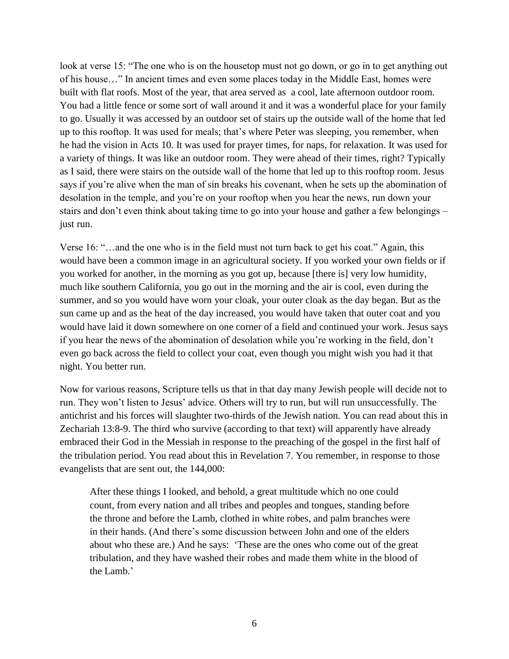look at verse 15: "The one who is on the housetop must not go down, or go in to get anything out of his house…" In ancient times and even some places today in the Middle East, homes were built with flat roofs. Most of the year, that area served as a cool, late afternoon outdoor room. You had a little fence or some sort of wall around it and it was a wonderful place for your family to go. Usually it was accessed by an outdoor set of stairs up the outside wall of the home that led up to this rooftop. It was used for meals; that's where Peter was sleeping, you remember, when he had the vision in Acts 10. It was used for prayer times, for naps, for relaxation. It was used for a variety of things. It was like an outdoor room. They were ahead of their times, right? Typically as I said, there were stairs on the outside wall of the home that led up to this rooftop room. Jesus says if you're alive when the man of sin breaks his covenant, when he sets up the abomination of desolation in the temple, and you're on your rooftop when you hear the news, run down your stairs and don't even think about taking time to go into your house and gather a few belongings – just run.

Verse 16: "…and the one who is in the field must not turn back to get his coat." Again, this would have been a common image in an agricultural society. If you worked your own fields or if you worked for another, in the morning as you got up, because [there is] very low humidity, much like southern California, you go out in the morning and the air is cool, even during the summer, and so you would have worn your cloak, your outer cloak as the day began. But as the sun came up and as the heat of the day increased, you would have taken that outer coat and you would have laid it down somewhere on one corner of a field and continued your work. Jesus says if you hear the news of the abomination of desolation while you're working in the field, don't even go back across the field to collect your coat, even though you might wish you had it that night. You better run.

Now for various reasons, Scripture tells us that in that day many Jewish people will decide not to run. They won't listen to Jesus' advice. Others will try to run, but will run unsuccessfully. The antichrist and his forces will slaughter two-thirds of the Jewish nation. You can read about this in Zechariah 13:8-9. The third who survive (according to that text) will apparently have already embraced their God in the Messiah in response to the preaching of the gospel in the first half of the tribulation period. You read about this in Revelation 7. You remember, in response to those evangelists that are sent out, the 144,000:

After these things I looked, and behold, a great multitude which no one could count, from every nation and all tribes and peoples and tongues, standing before the throne and before the Lamb, clothed in white robes, and palm branches were in their hands. (And there's some discussion between John and one of the elders about who these are.) And he says: 'These are the ones who come out of the great tribulation, and they have washed their robes and made them white in the blood of the Lamb.'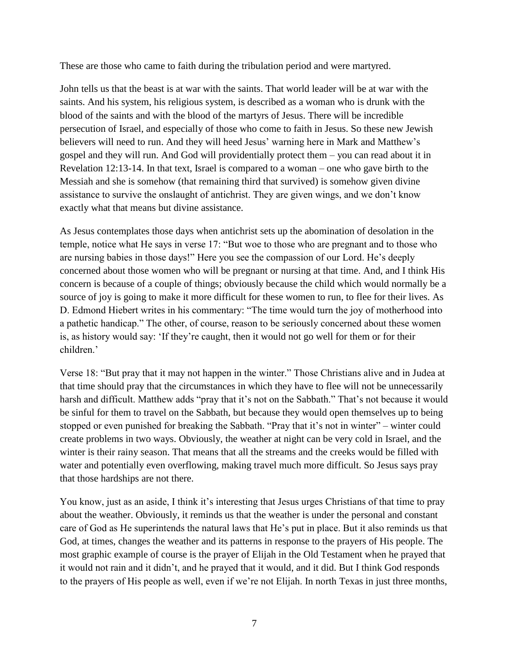These are those who came to faith during the tribulation period and were martyred.

John tells us that the beast is at war with the saints. That world leader will be at war with the saints. And his system, his religious system, is described as a woman who is drunk with the blood of the saints and with the blood of the martyrs of Jesus. There will be incredible persecution of Israel, and especially of those who come to faith in Jesus. So these new Jewish believers will need to run. And they will heed Jesus' warning here in Mark and Matthew's gospel and they will run. And God will providentially protect them – you can read about it in Revelation 12:13-14. In that text, Israel is compared to a woman – one who gave birth to the Messiah and she is somehow (that remaining third that survived) is somehow given divine assistance to survive the onslaught of antichrist. They are given wings, and we don't know exactly what that means but divine assistance.

As Jesus contemplates those days when antichrist sets up the abomination of desolation in the temple, notice what He says in verse 17: "But woe to those who are pregnant and to those who are nursing babies in those days!" Here you see the compassion of our Lord. He's deeply concerned about those women who will be pregnant or nursing at that time. And, and I think His concern is because of a couple of things; obviously because the child which would normally be a source of joy is going to make it more difficult for these women to run, to flee for their lives. As D. Edmond Hiebert writes in his commentary: "The time would turn the joy of motherhood into a pathetic handicap." The other, of course, reason to be seriously concerned about these women is, as history would say: 'If they're caught, then it would not go well for them or for their children.'

Verse 18: "But pray that it may not happen in the winter." Those Christians alive and in Judea at that time should pray that the circumstances in which they have to flee will not be unnecessarily harsh and difficult. Matthew adds "pray that it's not on the Sabbath." That's not because it would be sinful for them to travel on the Sabbath, but because they would open themselves up to being stopped or even punished for breaking the Sabbath. "Pray that it's not in winter" – winter could create problems in two ways. Obviously, the weather at night can be very cold in Israel, and the winter is their rainy season. That means that all the streams and the creeks would be filled with water and potentially even overflowing, making travel much more difficult. So Jesus says pray that those hardships are not there.

You know, just as an aside, I think it's interesting that Jesus urges Christians of that time to pray about the weather. Obviously, it reminds us that the weather is under the personal and constant care of God as He superintends the natural laws that He's put in place. But it also reminds us that God, at times, changes the weather and its patterns in response to the prayers of His people. The most graphic example of course is the prayer of Elijah in the Old Testament when he prayed that it would not rain and it didn't, and he prayed that it would, and it did. But I think God responds to the prayers of His people as well, even if we're not Elijah. In north Texas in just three months,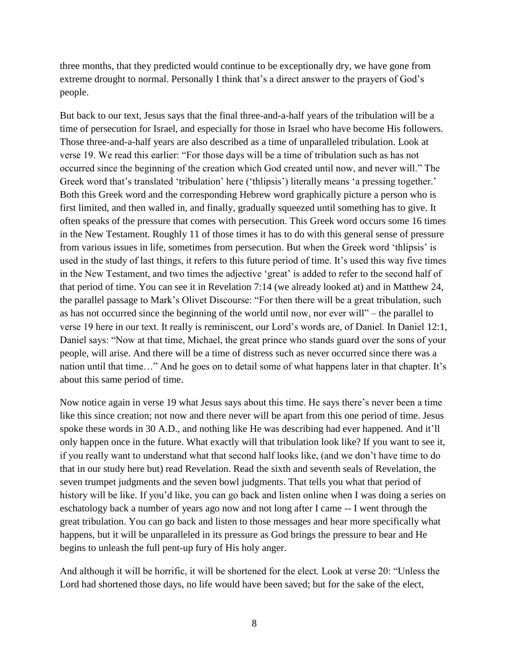three months, that they predicted would continue to be exceptionally dry, we have gone from extreme drought to normal. Personally I think that's a direct answer to the prayers of God's people.

But back to our text, Jesus says that the final three-and-a-half years of the tribulation will be a time of persecution for Israel, and especially for those in Israel who have become His followers. Those three-and-a-half years are also described as a time of unparalleled tribulation. Look at verse 19. We read this earlier: "For those days will be a time of tribulation such as has not occurred since the beginning of the creation which God created until now, and never will." The Greek word that's translated 'tribulation' here ('thlipsis') literally means 'a pressing together.' Both this Greek word and the corresponding Hebrew word graphically picture a person who is first limited, and then walled in, and finally, gradually squeezed until something has to give. It often speaks of the pressure that comes with persecution. This Greek word occurs some 16 times in the New Testament. Roughly 11 of those times it has to do with this general sense of pressure from various issues in life, sometimes from persecution. But when the Greek word 'thlipsis' is used in the study of last things, it refers to this future period of time. It's used this way five times in the New Testament, and two times the adjective 'great' is added to refer to the second half of that period of time. You can see it in Revelation 7:14 (we already looked at) and in Matthew 24, the parallel passage to Mark's Olivet Discourse: "For then there will be a great tribulation, such as has not occurred since the beginning of the world until now, nor ever will" – the parallel to verse 19 here in our text. It really is reminiscent, our Lord's words are, of Daniel. In Daniel 12:1, Daniel says: "Now at that time, Michael, the great prince who stands guard over the sons of your people, will arise. And there will be a time of distress such as never occurred since there was a nation until that time…" And he goes on to detail some of what happens later in that chapter. It's about this same period of time.

Now notice again in verse 19 what Jesus says about this time. He says there's never been a time like this since creation; not now and there never will be apart from this one period of time. Jesus spoke these words in 30 A.D., and nothing like He was describing had ever happened. And it'll only happen once in the future. What exactly will that tribulation look like? If you want to see it, if you really want to understand what that second half looks like, (and we don't have time to do that in our study here but) read Revelation. Read the sixth and seventh seals of Revelation, the seven trumpet judgments and the seven bowl judgments. That tells you what that period of history will be like. If you'd like, you can go back and listen online when I was doing a series on eschatology back a number of years ago now and not long after I came -- I went through the great tribulation. You can go back and listen to those messages and hear more specifically what happens, but it will be unparalleled in its pressure as God brings the pressure to bear and He begins to unleash the full pent-up fury of His holy anger.

And although it will be horrific, it will be shortened for the elect. Look at verse 20: "Unless the Lord had shortened those days, no life would have been saved; but for the sake of the elect,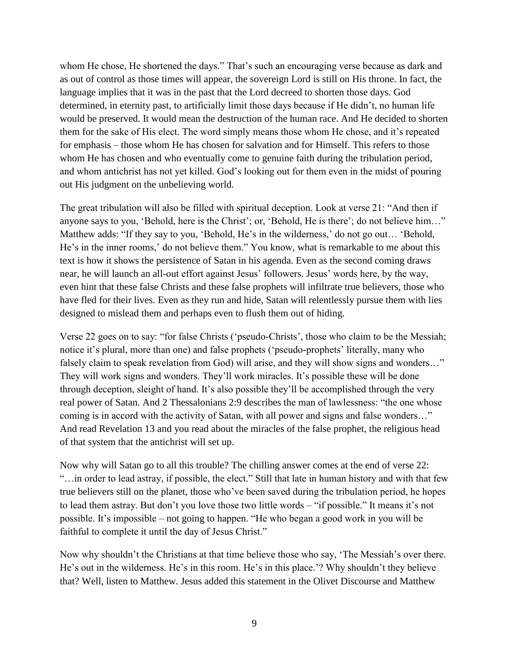whom He chose, He shortened the days." That's such an encouraging verse because as dark and as out of control as those times will appear, the sovereign Lord is still on His throne. In fact, the language implies that it was in the past that the Lord decreed to shorten those days. God determined, in eternity past, to artificially limit those days because if He didn't, no human life would be preserved. It would mean the destruction of the human race. And He decided to shorten them for the sake of His elect. The word simply means those whom He chose, and it's repeated for emphasis – those whom He has chosen for salvation and for Himself. This refers to those whom He has chosen and who eventually come to genuine faith during the tribulation period, and whom antichrist has not yet killed. God's looking out for them even in the midst of pouring out His judgment on the unbelieving world.

The great tribulation will also be filled with spiritual deception. Look at verse 21: "And then if anyone says to you, 'Behold, here is the Christ'; or, 'Behold, He is there'; do not believe him…" Matthew adds: "If they say to you, 'Behold, He's in the wilderness,' do not go out… 'Behold, He's in the inner rooms,' do not believe them." You know, what is remarkable to me about this text is how it shows the persistence of Satan in his agenda. Even as the second coming draws near, he will launch an all-out effort against Jesus' followers. Jesus' words here, by the way, even hint that these false Christs and these false prophets will infiltrate true believers, those who have fled for their lives. Even as they run and hide, Satan will relentlessly pursue them with lies designed to mislead them and perhaps even to flush them out of hiding.

Verse 22 goes on to say: "for false Christs ('pseudo-Christs', those who claim to be the Messiah; notice it's plural, more than one) and false prophets ('pseudo-prophets' literally, many who falsely claim to speak revelation from God) will arise, and they will show signs and wonders..." They will work signs and wonders. They'll work miracles. It's possible these will be done through deception, sleight of hand. It's also possible they'll be accomplished through the very real power of Satan. And 2 Thessalonians 2:9 describes the man of lawlessness: "the one whose coming is in accord with the activity of Satan, with all power and signs and false wonders…" And read Revelation 13 and you read about the miracles of the false prophet, the religious head of that system that the antichrist will set up.

Now why will Satan go to all this trouble? The chilling answer comes at the end of verse 22: "…in order to lead astray, if possible, the elect." Still that late in human history and with that few true believers still on the planet, those who've been saved during the tribulation period, he hopes to lead them astray. But don't you love those two little words – "if possible." It means it's not possible. It's impossible – not going to happen. "He who began a good work in you will be faithful to complete it until the day of Jesus Christ."

Now why shouldn't the Christians at that time believe those who say, 'The Messiah's over there. He's out in the wilderness. He's in this room. He's in this place.'? Why shouldn't they believe that? Well, listen to Matthew. Jesus added this statement in the Olivet Discourse and Matthew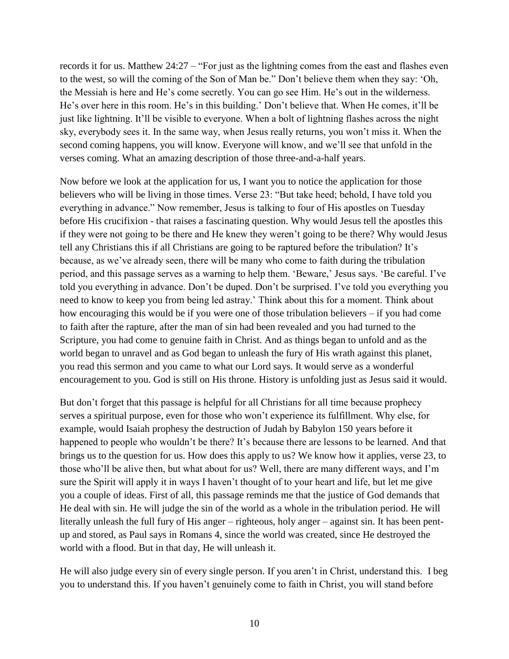records it for us. Matthew 24:27 – "For just as the lightning comes from the east and flashes even to the west, so will the coming of the Son of Man be." Don't believe them when they say: 'Oh, the Messiah is here and He's come secretly. You can go see Him. He's out in the wilderness. He's over here in this room. He's in this building.' Don't believe that. When He comes, it'll be just like lightning. It'll be visible to everyone. When a bolt of lightning flashes across the night sky, everybody sees it. In the same way, when Jesus really returns, you won't miss it. When the second coming happens, you will know. Everyone will know, and we'll see that unfold in the verses coming. What an amazing description of those three-and-a-half years.

Now before we look at the application for us, I want you to notice the application for those believers who will be living in those times. Verse 23: "But take heed; behold, I have told you everything in advance." Now remember, Jesus is talking to four of His apostles on Tuesday before His crucifixion - that raises a fascinating question. Why would Jesus tell the apostles this if they were not going to be there and He knew they weren't going to be there? Why would Jesus tell any Christians this if all Christians are going to be raptured before the tribulation? It's because, as we've already seen, there will be many who come to faith during the tribulation period, and this passage serves as a warning to help them. 'Beware,' Jesus says. 'Be careful. I've told you everything in advance. Don't be duped. Don't be surprised. I've told you everything you need to know to keep you from being led astray.' Think about this for a moment. Think about how encouraging this would be if you were one of those tribulation believers – if you had come to faith after the rapture, after the man of sin had been revealed and you had turned to the Scripture, you had come to genuine faith in Christ. And as things began to unfold and as the world began to unravel and as God began to unleash the fury of His wrath against this planet, you read this sermon and you came to what our Lord says. It would serve as a wonderful encouragement to you. God is still on His throne. History is unfolding just as Jesus said it would.

But don't forget that this passage is helpful for all Christians for all time because prophecy serves a spiritual purpose, even for those who won't experience its fulfillment. Why else, for example, would Isaiah prophesy the destruction of Judah by Babylon 150 years before it happened to people who wouldn't be there? It's because there are lessons to be learned. And that brings us to the question for us. How does this apply to us? We know how it applies, verse 23, to those who'll be alive then, but what about for us? Well, there are many different ways, and I'm sure the Spirit will apply it in ways I haven't thought of to your heart and life, but let me give you a couple of ideas. First of all, this passage reminds me that the justice of God demands that He deal with sin. He will judge the sin of the world as a whole in the tribulation period. He will literally unleash the full fury of His anger – righteous, holy anger – against sin. It has been pentup and stored, as Paul says in Romans 4, since the world was created, since He destroyed the world with a flood. But in that day, He will unleash it.

He will also judge every sin of every single person. If you aren't in Christ, understand this. I beg you to understand this. If you haven't genuinely come to faith in Christ, you will stand before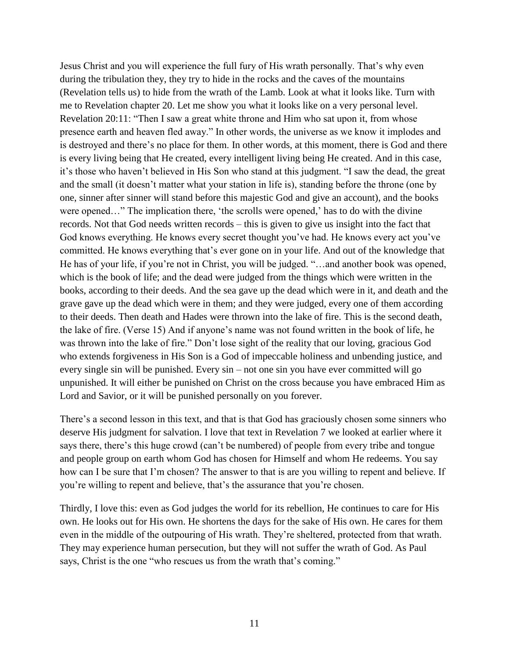Jesus Christ and you will experience the full fury of His wrath personally. That's why even during the tribulation they, they try to hide in the rocks and the caves of the mountains (Revelation tells us) to hide from the wrath of the Lamb. Look at what it looks like. Turn with me to Revelation chapter 20. Let me show you what it looks like on a very personal level. Revelation 20:11: "Then I saw a great white throne and Him who sat upon it, from whose presence earth and heaven fled away." In other words, the universe as we know it implodes and is destroyed and there's no place for them. In other words, at this moment, there is God and there is every living being that He created, every intelligent living being He created. And in this case, it's those who haven't believed in His Son who stand at this judgment. "I saw the dead, the great and the small (it doesn't matter what your station in life is), standing before the throne (one by one, sinner after sinner will stand before this majestic God and give an account), and the books were opened…" The implication there, 'the scrolls were opened,' has to do with the divine records. Not that God needs written records – this is given to give us insight into the fact that God knows everything. He knows every secret thought you've had. He knows every act you've committed. He knows everything that's ever gone on in your life. And out of the knowledge that He has of your life, if you're not in Christ, you will be judged. "…and another book was opened, which is the book of life; and the dead were judged from the things which were written in the books, according to their deeds. And the sea gave up the dead which were in it, and death and the grave gave up the dead which were in them; and they were judged, every one of them according to their deeds. Then death and Hades were thrown into the lake of fire. This is the second death, the lake of fire. (Verse 15) And if anyone's name was not found written in the book of life, he was thrown into the lake of fire." Don't lose sight of the reality that our loving, gracious God who extends forgiveness in His Son is a God of impeccable holiness and unbending justice, and every single sin will be punished. Every sin – not one sin you have ever committed will go unpunished. It will either be punished on Christ on the cross because you have embraced Him as Lord and Savior, or it will be punished personally on you forever.

There's a second lesson in this text, and that is that God has graciously chosen some sinners who deserve His judgment for salvation. I love that text in Revelation 7 we looked at earlier where it says there, there's this huge crowd (can't be numbered) of people from every tribe and tongue and people group on earth whom God has chosen for Himself and whom He redeems. You say how can I be sure that I'm chosen? The answer to that is are you willing to repent and believe. If you're willing to repent and believe, that's the assurance that you're chosen.

Thirdly, I love this: even as God judges the world for its rebellion, He continues to care for His own. He looks out for His own. He shortens the days for the sake of His own. He cares for them even in the middle of the outpouring of His wrath. They're sheltered, protected from that wrath. They may experience human persecution, but they will not suffer the wrath of God. As Paul says, Christ is the one "who rescues us from the wrath that's coming."